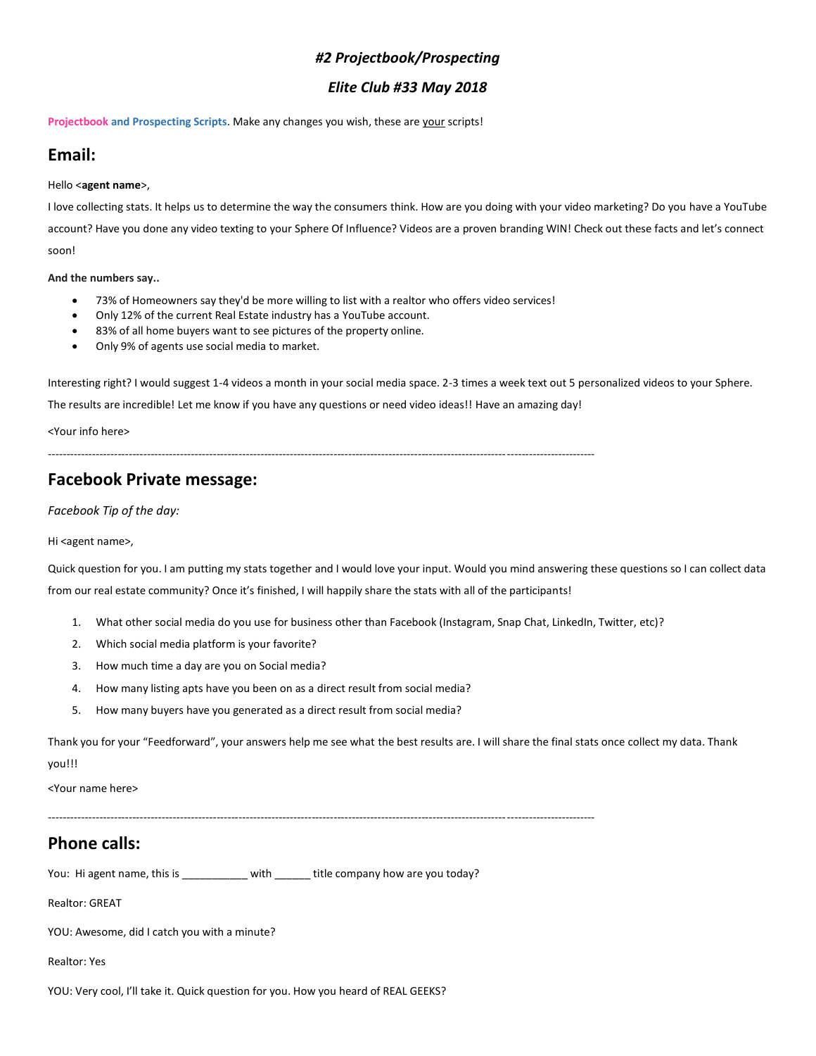#### *#2 Projectbook/Prospecting*

#### *Elite Club #33 May 2018*

**Projectbook and Prospecting Scripts**. Make any changes you wish, these are your scripts!

# **Email:**

#### Hello <**agent name**>,

I love collecting stats. It helps us to determine the way the consumers think. How are you doing with your video marketing? Do you have a YouTube account? Have you done any video texting to your Sphere Of Influence? Videos are a proven branding WIN! Check out these facts and let's connect soon!

#### **And the numbers say..**

- 73% of Homeowners say they'd be more willing to list with a realtor who offers video services!
- Only 12% of the current Real Estate industry has a YouTube account.
- 83% of all home buyers want to see pictures of the property online.
- Only 9% of agents use social media to market.

Interesting right? I would suggest 1-4 videos a month in your social media space. 2-3 times a week text out 5 personalized videos to your Sphere.

The results are incredible! Let me know if you have any questions or need video ideas!! Have an amazing day!

<Your info here>

-----------------------------------------------------------------------------------------------------------------------------------------------------

### **Facebook Private message:**

*Facebook Tip of the day:*

Hi <agent name>,

Quick question for you. I am putting my stats together and I would love your input. Would you mind answering these questions so I can collect data from our real estate community? Once it's finished, I will happily share the stats with all of the participants!

- 1. What other social media do you use for business other than Facebook (Instagram, Snap Chat, LinkedIn, Twitter, etc)?
- 2. Which social media platform is your favorite?
- 3. How much time a day are you on Social media?
- 4. How many listing apts have you been on as a direct result from social media?
- 5. How many buyers have you generated as a direct result from social media?

Thank you for your "Feedforward", your answers help me see what the best results are. I will share the final stats once collect my data. Thank you!!!

<Your name here>

-----------------------------------------------------------------------------------------------------------------------------------------------------

# **Phone calls:**

You: Hi agent name, this is \_\_\_\_\_\_\_\_\_\_ with \_\_\_\_\_\_ title company how are you today?

Realtor: GREAT

YOU: Awesome, did I catch you with a minute?

Realtor: Yes

YOU: Very cool, I'll take it. Quick question for you. How you heard of REAL GEEKS?